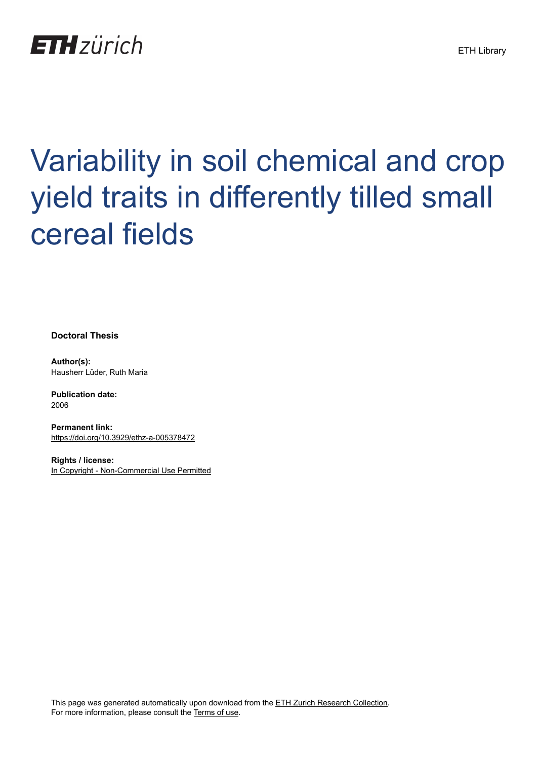

# Variability in soil chemical and crop yield traits in differently tilled small cereal fields

**Doctoral Thesis**

**Author(s):** Hausherr Lüder, Ruth Maria

**Publication date:** 2006

**Permanent link:** <https://doi.org/10.3929/ethz-a-005378472>

**Rights / license:** [In Copyright - Non-Commercial Use Permitted](http://rightsstatements.org/page/InC-NC/1.0/)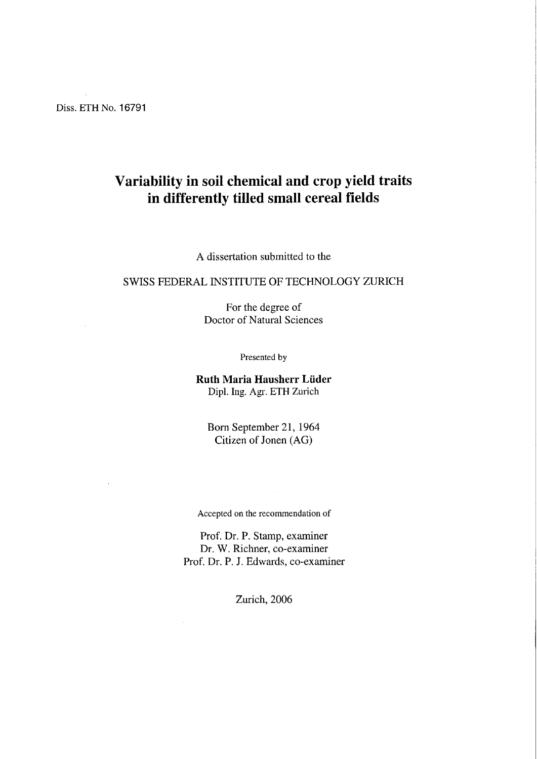Diss. ETH No. 16791

### Variability in soil chemical and crop yield traits in differently tilled small cereal fields

A dissertation submitted to the

#### SWISS FEDERAL INSTITUTE OF TECHNOLOGY ZURICH

For the degree of Doctor of Natural Sciences

Presented by

Ruth Maria Hausherr Lüder Dipl. Ing. Agr. ETH Zürich

Born September 21, 1964 Citizen of Jonen (AG)

Accepted on the recommendation of

Prof. Dr. P. Stamp, examiner Dr. W. Richner, co-examiner Prof. Dr. P. J. Edwards, co-examiner

Zürich, 2006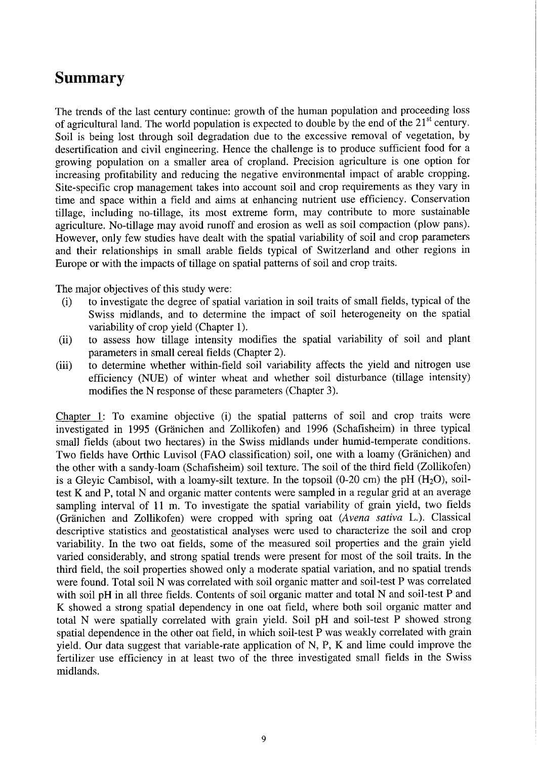## Summary

The trends of the last century continue: growth of the human population and proceeding loss of agricultural land. The world population is expected to double by the end of the  $21<sup>st</sup>$  century. Soil is being lost through soil degradation due to the excessive removal of vegetation, by desertification and civil engineering. Hence the challenge is to produce sufficient food for a growing population on <sup>a</sup> smaller area of cropland. Precision agriculture is one Option for increasing profitability and reducing the negative environmental impact of arable cropping. Site-specific crop management takes into account soil and crop requirements as they vary in time and space within <sup>a</sup> field and aims at enhancing nutrient use efficiency. Conservation tillage, including no-tillage, its most extreme form, may contribute to more sustainable agriculture. No-tillage may avoid runoff and erosion as well as soil compaction (plow pans). However, only few studies have dealt with the spatial variability of soil and crop parameters and their relationships in small arable fields typical of Switzerland and other regions in Europe or with the impacts of tillage on spatial patterns of soil and crop traits.

The major objeetives of this study were:

- (i) to investigate the degree of spatial Variation in soil traits of small fields, typical of the Swiss midlands, and to determine the impact of soil heterogeneity on the spatial variability of crop yield (Chapter 1).
- (ii) to assess how tillage intensity modifies the spatial variability of soil and plant parameters in small cereal fields (Chapter 2).
- (iii) to determine whether within-field soil variability affects the yield and nitrogen use efficiency (NUE) of winter wheat and whether soil disturbance (tillage intensity) modifies the N response of these parameters (Chapter 3).

Chapter 1: To examine objeetive (i) the spatial patterns of soil and crop traits were investigated in 1995 (Gränichen and Zollikofen) and 1996 (Schafisheim) in three typical small fields (about two heetares) in the Swiss midlands under humid-temperate conditions. Two fields have Orthic Luvisol (FAO Classification) soil, one with <sup>a</sup> loamy (Gränichen) and the other with a sandy-loam (Schafisheim) soil texture. The soil of the third field (Zollikofen) is a Gleyic Cambisol, with a loamy-silt texture. In the topsoil  $(0-20 \text{ cm})$  the pH  $(H_2O)$ , soiltest K and P, total N and organic matter contents were sampled in a regular grid at an average sampling interval of <sup>11</sup> m. To investigate the spatial variability of grain yield, two fields (Gränichen and Zollikofen) were cropped with spring oat (Avena sativa L.). Classical descriptive statistics and geostatistical analyses were used to characterize the soil and crop variability. In the two oat fields, some of the measured soil properties and the grain yield varied considerably, and strong spatial trends were present for most of the soil traits. In the third field, the soil properties showed only <sup>a</sup> moderate spatial Variation, and no spatial trends were found. Total soil N was correlated with soil organic matter and soil-test P was correlated with soil pH in all three fields. Contents of soil organic matter and total N and soil-test P and K showed a strong spatial dependency in one oat field, where both soil organic matter and total N were spatially correlated with grain yield. Soil pH and soil-test P showed strong spatial dependence in the other oat field, in which soil-test P was weakly correlated with grain yield. Our data suggest that variable-rate application of N, P, K and lime could improve the fertilizer use efficiency in at least two of the three investigated small fields in the Swiss midlands.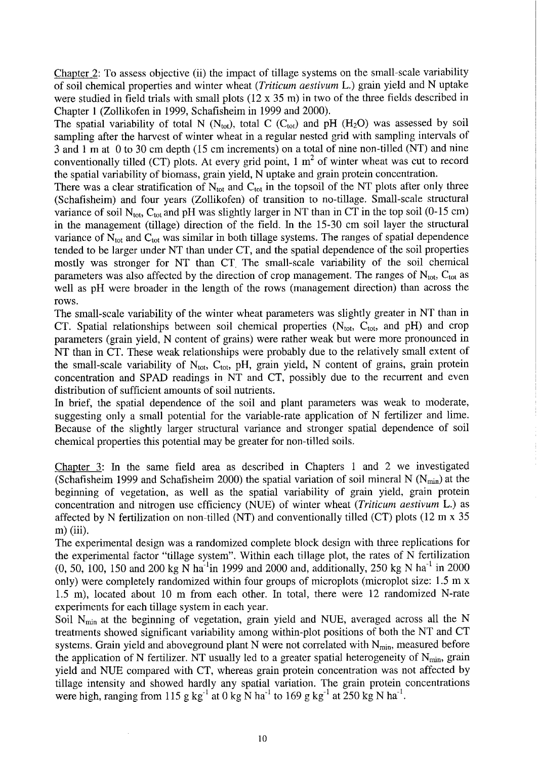Chapter  $2$ : To assess objective (ii) the impact of tillage systems on the small-scale variability of soil chemical properties and winter wheat (Triticum aestivum L.) grain yield and N uptake were studied in field trials with small plots (12 x 35 m) in two of the three fields described in Chapter 1 (Zollikofen in 1999, Schafisheim in 1999 and 2000).

The spatial variability of total N (N<sub>tot</sub>), total C (C<sub>tot</sub>) and pH (H<sub>2</sub>O) was assessed by soil sampling after the harvest of winter wheat in a regular nested grid with sampling intervals of 3 and 1 m at 0 to 30 cm depth (15 cm increments) on a total of nine non-tilled (NT) and nine conventionally tilled (CT) plots. At every grid point,  $1 \text{ m}^2$  of winter wheat was cut to record the spatial variability of biomass, grain yield, N uptake and grain protein concentration.

There was a clear stratification of  $N_{tot}$  and  $C_{tot}$  in the topsoil of the NT plots after only three (Schafisheim) and four years (Zollikofen) of transition to no-tillage. Small-scale structural variance of soil  $N_{\text{tot}}$ , C<sub>tot</sub> and pH was slightly larger in NT than in CT in the top soil (0-15 cm) in the management (tillage) direction of the field. In the 15-30 cm soil layer the structural variance of  $\bar{N}_{tot}$  and  $C_{tot}$  was similar in both tillage systems. The ranges of spatial dependence tended to be larger under NT than under CT, and the spatial dependence of the soil properties mostly was stronger for NT than CT. The small-scale variability of the soil chemical parameters was also affected by the direction of crop management. The ranges of  $N_{\text{tot}}$ , C<sub>tot</sub> as well as pH were broader in the length of the rows (management direction) than across the rows.

The small-scale variability of the winter wheat parameters was slightly greater in NT than in CT. Spatial relationships between soil chemical properties  $(N_{tot}, C_{tot}, and pH)$  and crop parameters (grain yield, N content of grains) were rather weak but were more pronounced in NT than in CT. These weak relationships were probably due to the relatively small extent of the small-scale variability of  $N_{\text{tot}}$ ,  $C_{\text{tot}}$ , pH, grain yield, N content of grains, grain protein concentration and SPAD readings in NT and CT, possibly due to the recurrent and even distribution of sufficient amounts of soil nutrients.

In brief, the spatial dependence of the soil and plant parameters was weak to moderate, suggesting only <sup>a</sup> small potential for the variable-rate application of N fertilizer and lime. Because of the slightly larger structural variance and stronger spatial dependence of soil chemical properties this potential may be greater for non-tilled soils.

Chapter 3: In the same field area as described in Chapters <sup>1</sup> and <sup>2</sup> we investigated (Schafisheim 1999 and Schafisheim 2000) the spatial variation of soil mineral N ( $N_{min}$ ) at the beginning of Vegetation, as well as the spatial variability of grain yield, grain protein concentration and nitrogen use efficiency (NUE) of winter wheat (Triticum aestivum L.) as affected by N fertilization on non-tilled (NT) and conventionally tilled (CT) plots  $(12 \text{ m} \times 35)$ m) (iii).

The experimental design was a randomized complete block design with three replications for the experimental factor "tillage system". Within each tillage plot, the rates of N fertilization (0, 50, 100, 150 and 200 kg N ha<sup>-1</sup>in 1999 and 2000 and, additionally, 250 kg N ha<sup>-1</sup> in 2000 only) were completely randomized within four groups of microplots (microplot size: 1.5 m x 1.5 m), located about <sup>10</sup> m from each other. In total, there were <sup>12</sup> randomized N-rate experiments for each tillage system in each year.

Soil  $N_{\text{min}}$  at the beginning of vegetation, grain yield and NUE, averaged across all the N treatments showed significant variability among within-plot positions of both the NT and CT systems. Grain yield and aboveground plant N were not correlated with  $N_{min}$ , measured before the application of N fertilizer. NT usually led to a greater spatial heterogeneity of  $N_{min}$ , grain yield and NUE compared with CT, whereas grain protein concentration was not affected by tillage intensity and showed hardly any spatial Variation. The grain protein concentrations were high, ranging from 115 g kg<sup>-1</sup> at 0 kg N ha<sup>-1</sup> to 169 g kg<sup>-1</sup> at 250 kg N ha<sup>-1</sup>.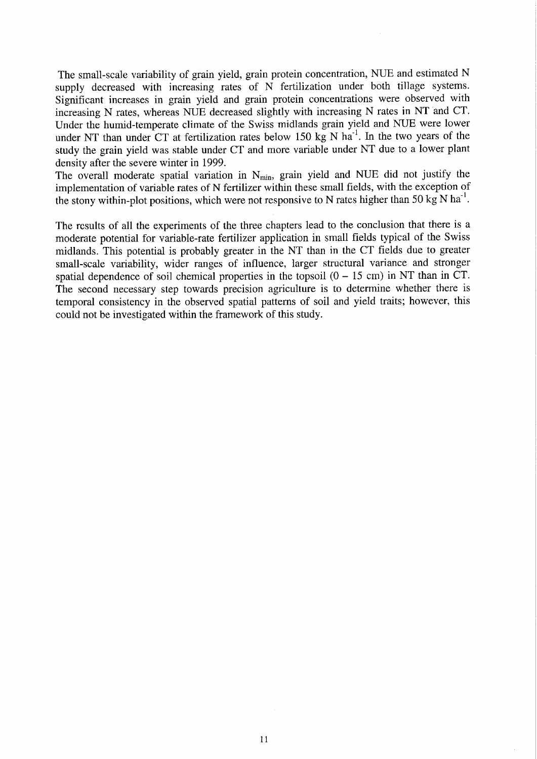The small-scale variability of grain yield, grain protein concentration, NUE and estimated N supply decreased with increasing rates of N fertilization under both tillage systems. Significant increases in grain yield and grain protein concentrations were observed with increasing N rates, whereas NUE decreased slightly with increasing N rates in NT and CT. Under the humid-temperate climate of the Swiss midlands grain yield and NUE were lower under NT than under  $CT$  at fertilization rates below 150 kg N ha<sup>-1</sup>. In the two years of the study the grain yield was stable under CT and more variable under NT due to <sup>a</sup> lower plant density after the severe winter in 1999.

The overall moderate spatial variation in  $N_{min}$ , grain yield and NUE did not justify the implementation of variable rates of N fertilizer within these small fields, with the exception of the stony within-plot positions, which were not responsive to N rates higher than 50 kg N  $ha^{-1}$ .

The results of all the experiments of the three chapters lead to the conclusion that there is <sup>a</sup> moderate potential for variable-rate fertilizer application in small fields typical of the Swiss midlands. This potential is probably greater in the NT than in the CT fields due to greater small-scale variability, wider ranges of infiuence, larger structural variance and stronger spatial dependence of soil chemical properties in the topsoil  $(0 - 15 \text{ cm})$  in NT than in CT. The second necessary step towards precision agriculture is to determine whether there is temporal consistency in the observed spatial patterns of soil and yield traits; however, this could not be investigated within the framework of this study.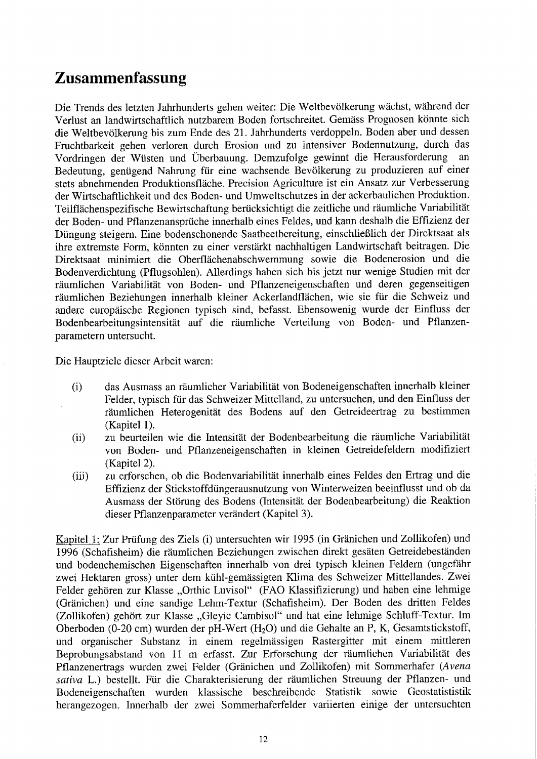## Zusammenfassung

Die Trends des letzten Jahrhunderts gehen weiter: Die Weltbevölkerung wächst, während der Verlust an landwirtschaftlich nutzbarem Boden fortschreitet. Gemäss Prognosen könnte sich die Weltbevölkerung bis zum Ende des 21. Jahrhunderts verdoppeln. Boden aber und dessen Fruchtbarkeit gehen verloren durch Erosion und zu intensiver Bodennutzung, durch das Vordringen der Wüsten und Überbauung. Demzufolge gewinnt die Herausforderung Bedeutung, genügend Nahrung für eine wachsende Bevölkerung zu produzieren auf einer stets abnehmenden Produktionsfläche. Precision Agriculture ist ein Ansatz zur Verbesserung der Wirtschaftlichkeit und des Boden- und Umweltschutzes in der ackerbaulichen Produktion. Teilflächenspezifische Bewirtschaftung berücksichtigt die zeitliche und räumliche Variabilität der Boden- und Pflanzenansprüche innerhalb eines Feldes, und kann deshalb die Effizienz der Düngung steigern. Eine bodenschonende Saatbeetbereitung, einschließlich der Direktsaat als ihre extremste Form, könnten zu einer verstärkt nachhaltigen Landwirtschaft beitragen. Die Direktsaat minimiert die Oberflächenabschwemmung sowie die Bodenerosion und die BodenVerdichtung (Pflugsohlen). Allerdings haben sich bis jetzt nur wenige Studien mit der räumlichen Variabilität von Boden- und Pflanzeneigenschaften und deren gegenseitigen räumlichen Beziehungen innerhalb kleiner Ackerlandflächen, wie sie für die Schweiz und andere europäische Regionen typisch sind, befasst. Ebensowenig wurde der Einfluss der Bodenbearbeitungsintensität auf die räumliche Verteilung von Boden- und Pflanzenparametern untersucht.

Die Hauptziele dieser Arbeit waren:

- (i) das Ausmass an räumlicher Variabilität von Bodeneigenschaften innerhalb kleiner Felder, typisch für das Schweizer Mittelland, zu untersuchen, und den Einfluss der räumlichen Heterogenität des Bodens auf den Getreideertrag zu bestimmen (Kapitel 1).
- (ii) zu beurteilen wie die Intensität der Bodenbearbeitung die räumliche Variabilität von Boden- und Pflanzeneigenschaften in kleinen Getreidefeldern modifiziert (Kapitel 2).
- (iii) zu erforschen, ob die Bodenvariabilität innerhalb eines Feldes den Ertrag und die Effizienz der Stickstoffdüngerausnutzung von Winterweizen beeinflusst und ob da Ausmass der Störung des Bodens (Intensität der Bodenbearbeitung) die Reaktion dieser Pflanzenparameter verändert (Kapitel 3).

Kapitel 1: Zur Prüfung des Ziels (i) untersuchten wir 1995 (in Gränichen und Zollikofen) und 1996 (Schafisheim) die räumlichen Beziehungen zwischen direkt gesäten Getreidebeständen und bodenchemischen Eigenschaften innerhalb von drei typisch kleinen Feldern (ungefähr zwei Hektaren gross) unter dem kühl-gemässigten Klima des Schweizer Mittellandes. Zwei Felder gehören zur Klasse "Orthic Luvisol" (FAO Klassifizierung) und haben eine lehmige (Gränichen) und eine sandige Lehm-Textur (Schafisheim). Der Boden des dritten Feldes (Zollikofen) gehört zur Klasse "Gleyic Cambisol" und hat eine lehmige Schluff-Textur. Im Oberboden (0-20 cm) wurden der pH-Wert (H20) und die Gehalte an P, K, Gesamtstickstoff, und organischer Substanz in einem regelmässigen Rastergitter mit einem mittleren Beprobungsabstand von <sup>11</sup> m erfasst. Zur Erforschung der räumlichen Variabilität des Pflanzenertrags wurden zwei Felder (Gränichen und Zollikofen) mit Sommerhafer (Avena sativa L.) bestellt. Für die Charakterisierung der räumlichen Streuung der Pflanzen- und Bodeneigenschaften wurden klassische beschreibende Statistik sowie Geostatististik herangezogen. Innerhalb der zwei Sommerhafcrfelder variierten einige der untersuchten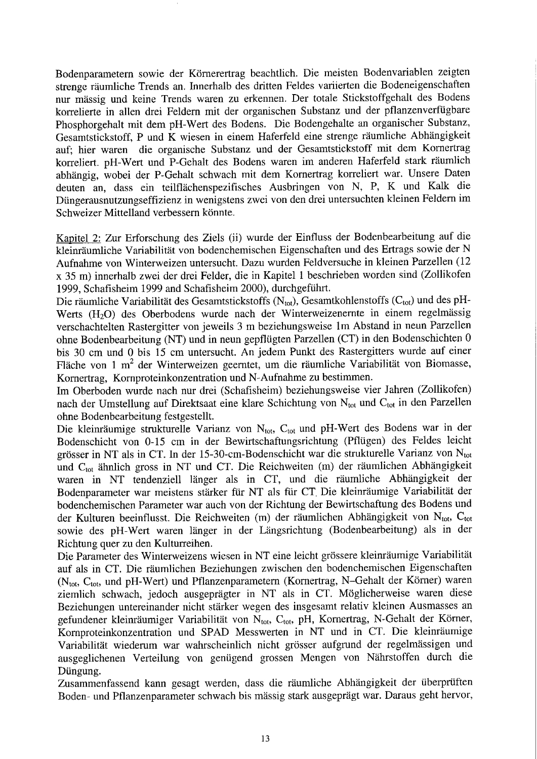Bodenparametern sowie der Körnerertrag beachtlich. Die meisten Bodenvariablen zeigten strenge räumliche Trends an. Innerhalb des dritten Feldes variierten die Bodeneigenschaften nur mässig und keine Trends waren zu erkennen. Der totale Stickstoffgehalt des Bodens korrelierte in allen drei Feldern mit der organischen Substanz und der pflanzenverfügbare Phosphorgehalt mit dem pH-Wert des Bodens. Die Bodengehalte an organischer Substanz, Gesamtstickstoff, P und K wiesen in einem Haferfeld eine strenge räumliche Abhängigkeit auf; hier waren die organische Substanz und der Gesamtstickstoff mit dem Kornertrag korreliert. pH-Wert und P-Gehalt des Bodens waren im anderen Haferfeld stark räumlich abhängig, wobei der P-Gehalt schwach mit dem Kornertrag korreliert war. Unsere Daten deuten an, dass ein teilflächenspezifisches Ausbringen von N, P, K und Kalk die Düngerausnutzungseffizienz in wenigstens zwei von den drei untersuchten kleinen Feldern im Schweizer Mittelland verbessern könnte.

Kapitel 2: Zur Erforschung des Ziels (ii) wurde der Einfluss der Bodenbearbeitung auf die kleinräumliche Variabilität von bodenchemischen Eigenschaften und des Ertrags sowie der N Aufnahme von Winterweizen untersucht. Dazu wurden Feldversuche in kleinen Parzellen (12 <sup>x</sup> <sup>35</sup> m) innerhalb zwei der drei Felder, die in Kapitel <sup>1</sup> beschriebenworden sind (Zollikofen 1999, Schafisheim 1999 and Schafisheim 2000), durchgeführt.

Die räumliche Variabilität des Gesamtstickstoffs (N<sub>tot</sub>), Gesamtkohlenstoffs (C<sub>tot</sub>) und des pH-Werts (H<sub>2</sub>O) des Oberbodens wurde nach der Winterweizenernte in einem regelmässig verschachtelten Rastergitter von jeweils 3 m beziehungsweise 1m Abstand in neun Parzellen ohne Bodenbearbeitung (NT) und in neun gepflügten Parzellen (CT) in den Bodenschichten 0 bis <sup>30</sup> cm und <sup>0</sup> bis <sup>15</sup> cm untersucht. An jedem Punkt des Rastergitters wurde auf einer Fläche von 1 m<sup>2</sup> der Winterweizen geerntet, um die räumliche Variabilität von Biomasse, Kornertrag, Kornproteinkonzentration und N-Aufnahme zu bestimmen.

Im Oberboden wurde nach nur drei (Schafisheim) beziehungsweise vier Jahren (Zollikofen) nach der Umstellung auf Direktsaat eine klare Schichtung von  $N_{tot}$  und  $C_{tot}$  in den Parzellen ohne Bodenbearbeitung festgestellt.

Die kleinräumige strukturelle Varianz von N<sub>tot</sub>, C<sub>tot</sub> und pH-Wert des Bodens war in der Bodenschicht von 0-15 cm in der Bewirtschaftungsrichtung(Pflügen) des Feldes leicht grösser in NT als in CT. In der 15-30-cm-Bodenschicht war die strukturelle Varianz von Ntot und C<sub>tot</sub> ähnlich gross in NT und CT. Die Reichweiten (m) der räumlichen Abhängigkeit waren in NT tendenziell länger als in CT, und die räumliche Abhängigkeit der Bodenparameterwar meistens stärker für NT als für CT. Die kleinräumige Variabilität der bodenchemischen Parameter war auch von der Richtung der Bewirtschaftung des Bodens und der Kulturen beeinflusst. Die Reichweiten (m) der räumlichen Abhängigkeit von  $N_{tot}$ , C<sub>tot</sub> sowie des pH-Wert waren länger in der Längsrichtung (Bodenbearbeitung) als in der Richtung quer zu den Kulturreihen.

Die Parameter des Winterweizens wiesen in NT eine leicht grössere kleinräumige Variabilität auf als in CT. Die räumlichen Beziehungen zwischen den bodenchemischen Eigenschaften (N<sub>tot</sub>, C<sub>tot</sub>, und pH-Wert) und Pflanzenparametern (Kornertrag, N-Gehalt der Körner) waren ziemlich schwach, jedoch ausgeprägter in NT als in CT. Möglicherweise waren diese Beziehungen untereinander nicht stärker wegen des insgesamt relativ kleinen Ausmasses an gefundener kleinräumiger Variabilität von Ntot, Ctot, pH, Kornertrag, N-Gehalt der Körner, Kornproteinkonzentration und SPAD Messwerten in NT und in CT. Die kleinräumige Variabilität wiederum war wahrscheinlich nicht grösser aufgrund der regelmässigen und ausgeglichenen Verteilung von genügend grossen Mengen von Nährstoffen durch die Düngung.

Zusammenfassend kann gesagt werden, dass die räumliche Abhängigkeit der überprüften Boden- und Pflanzenparameter schwach bis mässig stark ausgeprägt war. Daraus geht hervor,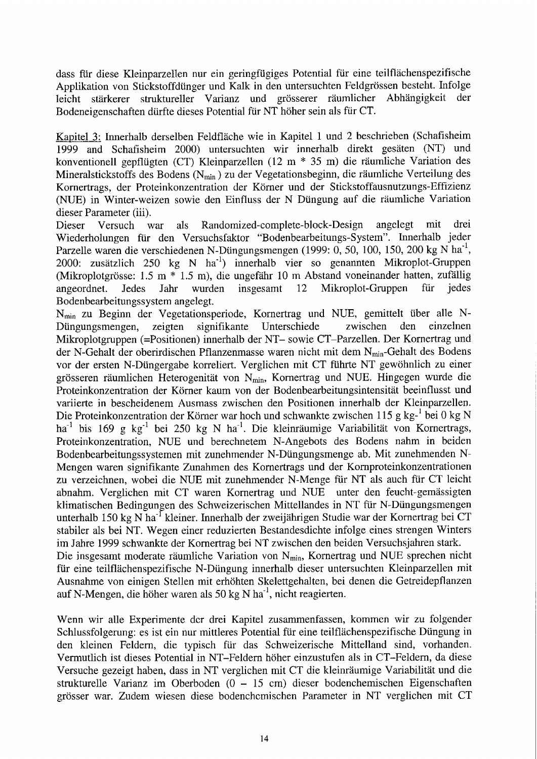dass für diese Kleinparzellen nur ein geringfügiges Potential für eine teilflächenspezifische Applikation von Stickstoffdünger und Kalk in den untersuchten Feldgrössen besteht. Infolge leicht stärkerer struktureller Varianz und grösserer räumlicher Abhängigkeit der Bodeneigenschaften dürfte dieses Potential für NT höher sein als für CT.

Kapitel 3: Innerhalb derselben Feldfläche wie in Kapitel <sup>1</sup> und 2 beschrieben (Schafisheim 1999 and Schafisheim 2000) untersuchten wir innerhalb direkt gesäten (NT) und konventionell gepflügten (CT) Kleinparzellen (12 m \* <sup>35</sup> m) die räumliche Variation des Mineralstickstoffs des Bodens ( $N_{\text{min}}$ ) zu der Vegetationsbeginn, die räumliche Verteilung des Kornertrags, der Proteinkonzentration der Körner und der Stickstoffausnutzungs-Effizienz (NUE) in Winter-weizen sowie den Einfluss der N Düngung auf die räumliche Variation dieser Parameter (iii).<br>Dieser Versuch v

war als Randomized-complete-block-Design angelegt mit drei Wiederholungen für den Versuchsfaktor "Bodenbearbeitungs-System". Innerhalb jeder Parzelle waren die verschiedenen N-Düngungsmengen (1999: 0, 50, 100, 150, 200 kg N ha<sup>-1</sup>, 2000: zusätzlich <sup>250</sup> kg N ha"1) innerhalb vier so genannten Mikroplot-Gruppen (Mikroplotgrösse: 1.5 m \* 1.5 m), die ungefähr 10 m Abstand voneinander hatten, zufällig angeordnet. Jedes Jahr wurden insgesamt 12 Mikroplot-Gruppen für jedes Mikroplot-Gruppen Bodenbearbeitungssystem angelegt.

N<sub>min</sub> zu Beginn der Vegetationsperiode, Kornertrag und NUE, gemittelt über alle N-<br>Düngungsmengen, zeigten signifikante Unterschiede zwischen den einzelnen signifikante Unterschiede Mikroplotgruppen (=Positionen) innerhalb der NT- sowie CT-Parzellen. Der Kornertrag und der N-Gehalt der oberirdischen Pflanzenmasse waren nicht mit dem N<sub>min</sub>-Gehalt des Bodens vor der ersten N-Düngergabe korreliert. Verglichen mit CT führte NT gewöhnlich zu einer grösseren räumlichen Heterogenität von N<sub>min</sub>, Kornertrag und NUE. Hingegen wurde die Proteinkonzentration der Körner kaum von der Bodenbearbeitungsintensität beeinflusst und variierte in bescheidenem Ausmass zwischen den Positionen innerhalb der Kleinparzellen. Die Proteinkonzentration der Körner war hoch und schwankte zwischen 115 g kg-<sup>1</sup> bei 0 kg N ha<sup>-1</sup> bis 169 g kg<sup>-1</sup> bei 250 kg N ha<sup>-1</sup>. Die kleinräumige Variabilität von Kornertrags, Proteinkonzentration, NUE und berechnetem N-Angebots des Bodens nahm in beiden Bodenbearbeitungssystemen mit zunehmender N-Düngungsmenge ab. Mit zunehmenden N-Mengen waren signifikante Zunahmen des Kornertrags und der Kornproteinkonzentrationen zu verzeichnen, wobei die NUE mit zunehmender N-Menge für NT als auch für CT leicht abnahm. Verglichen mit CT waren Kornertrag und NUE unter den feucht-gemässigten klimatischen Bedingungen des Schweizerischen Mittellandes in NT für N-Düngungsmengen unterhalb 150 kg N ha<sup>-I</sup> kleiner. Innerhalb der zweijährigen Studie war der Kornertrag bei CT stabiler als bei NT. Wegen einer reduzierten Bestandesdichte infolge eines strengen Winters im Jahre 1999 schwankte der Kornertrag bei NT zwischen den beiden Versuchsjahren stark. Die insgesamt moderate räumliche Variation von  $N_{\text{min}}$ , Kornertrag und NUE sprechen nicht für eine teilflächenspezifische N-Düngung innerhalb dieser untersuchten Kleinparzellen mit Ausnahme von einigen Stellen mit erhöhten Skelettgehalten, bei denen die Getreidepflanzen auf N-Mengen, die höher waren als 50 kg N ha<sup>-1</sup>, nicht reagierten.

Wenn wir alle Experimente der drei Kapitel zusammenfassen, kommen wir zu folgender Schlussfolgerung: es ist ein nur mittleres Potential für eine teilflächenspezifische Düngung in den kleinen Feldern, die typisch für das Schweizerische Mittelland sind, vorhanden. Vermutlich ist dieses Potential in NT-Feldern höher einzustufen als in CT-Feldern, da diese Versuchegezeigt haben, dass in NT verglichen mit CT die kleinräumige Variabilitätund die strukturelle Varianz im Oberboden (0-15 cm) dieser bodenchemischen Eigenschaften grösser war. Zudem wiesen diese bodenchemischen Parameter in NT verglichen mit CT